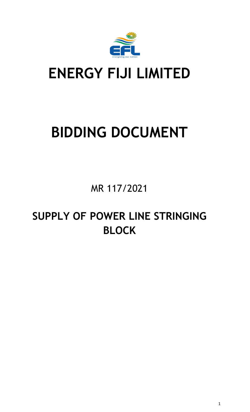

## **ENERGY FIJI LIMITED**

# **BIDDING DOCUMENT**

MR 117/2021

### **SUPPLY OF POWER LINE STRINGING BLOCK**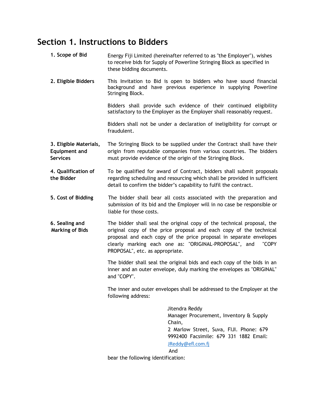#### **Section 1. Instructions to Bidders**

- **1. Scope of Bid** Energy Fiji Limited (hereinafter referred to as "the Employer"), wishes to receive bids for Supply of Powerline Stringing Block as specified in these bidding documents.
- **2. Eligible Bidders** This Invitation to Bid is open to bidders who have sound financial background and have previous experience in supplying Powerline Stringing Block.

Bidders shall provide such evidence of their continued eligibility satisfactory to the Employer as the Employer shall reasonably request.

Bidders shall not be under a declaration of ineligibility for corrupt or fraudulent.

- **3. Eligible Materials, Equipment and Services** The Stringing Block to be supplied under the Contract shall have their origin from reputable companies from various countries. The bidders must provide evidence of the origin of the Stringing Block.
- **4. Qualification of the Bidder** To be qualified for award of Contract, bidders shall submit proposals regarding scheduling and resourcing which shall be provided in sufficient detail to confirm the bidder's capability to fulfil the contract.
- **5. Cost of Bidding** The bidder shall bear all costs associated with the preparation and submission of its bid and the Employer will in no case be responsible or liable for those costs.
- **6. Sealing and Marking of Bids** The bidder shall seal the original copy of the technical proposal, the original copy of the price proposal and each copy of the technical proposal and each copy of the price proposal in separate envelopes clearly marking each one as: "ORIGINAL-PROPOSAL", and "COPY PROPOSAL", etc. as appropriate.

The bidder shall seal the original bids and each copy of the bids in an inner and an outer envelope, duly marking the envelopes as "ORIGINAL" and "COPY".

The inner and outer envelopes shall be addressed to the Employer at the following address:

> Jitendra Reddy Manager Procurement, Inventory & Supply Chain, 2 Marlow Street, Suva, FIJI. Phone: 679 9992400 Facsimile: 679 331 1882 Email: [JReddy@efl.com.fj](mailto:JReddy@efl.com.fj)

#### And

bear the following identification: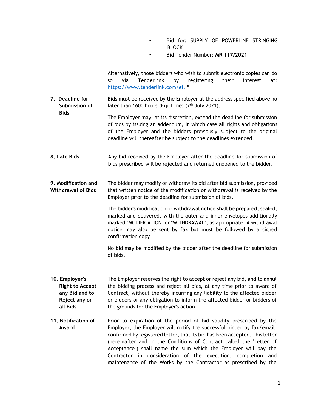- Bid for: SUPPLY OF POWERLINE STRINGING BLOCK
- Bid Tender Number: **MR 117/2021**

Alternatively, those bidders who wish to submit electronic copies can do so via TenderLink by registering their interest at: <https://www.tenderlink.com/efl> "

**7. Deadline for Submission of Bids** Bids must be received by the Employer at the address specified above no later than 1600 hours (Fiji Time) (7<sup>th</sup> July 2021).

The Employer may, at its discretion, extend the deadline for submission of bids by issuing an addendum, in which case all rights and obligations of the Employer and the bidders previously subject to the original deadline will thereafter be subject to the deadlines extended.

**8. Late Bids** Any bid received by the Employer after the deadline for submission of bids prescribed will be rejected and returned unopened to the bidder.

**9. Modification and Withdrawal of Bids** The bidder may modify or withdraw its bid after bid submission, provided that written notice of the modification or withdrawal is received by the Employer prior to the deadline for submission of bids.

> The bidder's modification or withdrawal notice shall be prepared, sealed, marked and delivered, with the outer and inner envelopes additionally marked "MODIFICATION" or "WITHDRAWAL", as appropriate. A withdrawal notice may also be sent by fax but must be followed by a signed confirmation copy.

> No bid may be modified by the bidder after the deadline for submission of bids.

- **10. Employer's Right to Accept any Bid and to Reject any or all Bids** The Employer reserves the right to accept or reject any bid, and to annul the bidding process and reject all bids, at any time prior to award of Contract, without thereby incurring any liability to the affected bidder or bidders or any obligation to inform the affected bidder or bidders of the grounds for the Employer's action.
- **11. Notification of Award** Prior to expiration of the period of bid validity prescribed by the Employer, the Employer will notify the successful bidder by fax/email, confirmed by registered letter, that its bid has been accepted. This letter (hereinafter and in the Conditions of Contract called the "Letter of Acceptance") shall name the sum which the Employer will pay the Contractor in consideration of the execution, completion and maintenance of the Works by the Contractor as prescribed by the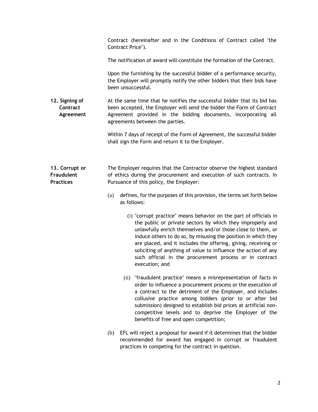|                                                         | Contract (hereinafter and in the Conditions of Contract called "the<br>Contract Price").                                                                                                                                                                                                                                                                                                                                                                                                         |
|---------------------------------------------------------|--------------------------------------------------------------------------------------------------------------------------------------------------------------------------------------------------------------------------------------------------------------------------------------------------------------------------------------------------------------------------------------------------------------------------------------------------------------------------------------------------|
|                                                         | The notification of award will constitute the formation of the Contract.                                                                                                                                                                                                                                                                                                                                                                                                                         |
|                                                         | Upon the furnishing by the successful bidder of a performance security,<br>the Employer will promptly notify the other bidders that their bids have<br>been unsuccessful.                                                                                                                                                                                                                                                                                                                        |
| 12. Signing of<br>Contract<br>Agreement                 | At the same time that he notifies the successful bidder that its bid has<br>been accepted, the Employer will send the bidder the Form of Contract<br>Agreement provided in the bidding documents, incorporating all<br>agreements between the parties.                                                                                                                                                                                                                                           |
|                                                         | Within 7 days of receipt of the Form of Agreement, the successful bidder<br>shall sign the Form and return it to the Employer.                                                                                                                                                                                                                                                                                                                                                                   |
| 13. Corrupt or<br><b>Fraudulent</b><br><b>Practices</b> | The Employer requires that the Contractor observe the highest standard<br>of ethics during the procurement and execution of such contracts. In<br>Pursuance of this policy, the Employer:<br>defines, for the purposes of this provision, the terms set forth below<br>(a)                                                                                                                                                                                                                       |
|                                                         | as follows:<br>(i) "corrupt practice" means behavior on the part of officials in<br>the public or private sectors by which they improperly and<br>unlawfully enrich themselves and/or those close to them, or<br>induce others to do so, by misusing the position in which they<br>are placed, and it includes the offering, giving, receiving or<br>soliciting of anything of value to influence the action of any<br>such official in the procurement process or in contract<br>execution; and |
|                                                         | (ii) "fraudulent practice" means a misrepresentation of facts in<br>order to influence a procurement process or the execution of<br>a contract to the detriment of the Employer, and includes<br>collusive practice among bidders (prior to or after bid<br>submission) designed to establish bid prices at artificial non-<br>competitive levels and to deprive the Employer of the<br>benefits of free and open competition;                                                                   |
|                                                         | EFL will reject a proposal for award if it determines that the bidder<br>(b)<br>recommended for award has engaged in corrupt or fraudulent<br>practices in competing for the contract in question.                                                                                                                                                                                                                                                                                               |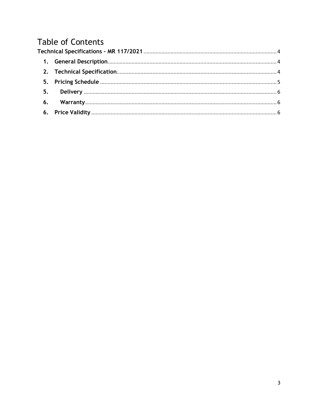### **Table of Contents**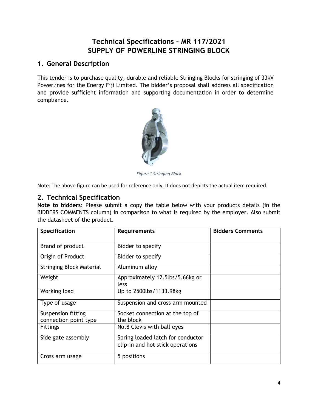#### **Technical Specifications – MR 117/2021 SUPPLY OF POWERLINE STRINGING BLOCK**

#### <span id="page-5-1"></span><span id="page-5-0"></span>**1. General Description**

This tender is to purchase quality, durable and reliable Stringing Blocks for stringing of 33kV Powerlines for the Energy Fiji Limited. The bidder's proposal shall address all specification and provide sufficient information and supporting documentation in order to determine compliance.



*Figure 1 Stringing Block*

Note: The above figure can be used for reference only. It does not depicts the actual item required.

#### <span id="page-5-2"></span>**2. Technical Specification**

**Note to bidders**: Please submit a copy the table below with your products details (in the BIDDERS COMMENTS column) in comparison to what is required by the employer. Also submit the datasheet of the product.

| Specification                               | <b>Requirements</b>                          | <b>Bidders Comments</b> |
|---------------------------------------------|----------------------------------------------|-------------------------|
| Brand of product                            | Bidder to specify                            |                         |
| Origin of Product                           | Bidder to specify                            |                         |
| <b>Stringing Block Material</b>             | Aluminum alloy                               |                         |
| Weight                                      | Approximately 12.5lbs/5.66kg or              |                         |
|                                             | less                                         |                         |
| Working load                                | Up to 2500lbs/1133.98kg                      |                         |
| Type of usage                               | Suspension and cross arm mounted             |                         |
| Suspension fitting<br>connection point type | Socket connection at the top of<br>the block |                         |
| <b>Fittings</b>                             | No.8 Clevis with ball eyes                   |                         |
| Side gate assembly                          | Spring loaded latch for conductor            |                         |
|                                             | clip-in and hot stick operations             |                         |
| Cross arm usage                             | 5 positions                                  |                         |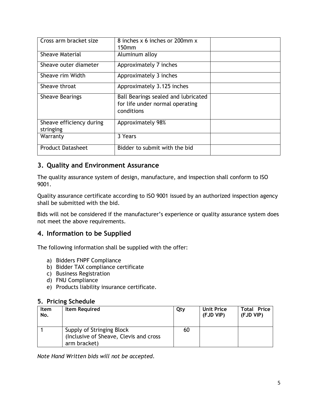| Cross arm bracket size                | 8 inches x 6 inches or 200mm x<br>150mm                                              |  |
|---------------------------------------|--------------------------------------------------------------------------------------|--|
| <b>Sheave Material</b>                | Aluminum alloy                                                                       |  |
| Sheave outer diameter                 | Approximately 7 inches                                                               |  |
| Sheave rim Width                      | Approximately 3 inches                                                               |  |
| Sheave throat                         | Approximately 3.125 inches                                                           |  |
| <b>Sheave Bearings</b>                | Ball Bearings sealed and lubricated<br>for life under normal operating<br>conditions |  |
| Sheave efficiency during<br>stringing | Approximately 98%                                                                    |  |
| Warranty                              | 3 Years                                                                              |  |
| <b>Product Datasheet</b>              | Bidder to submit with the bid                                                        |  |

#### **3. Quality and Environment Assurance**

The quality assurance system of design, manufacture, and inspection shall conform to ISO 9001.

Quality assurance certificate according to ISO 9001 issued by an authorized inspection agency shall be submitted with the bid.

Bids will not be considered if the manufacturer's experience or quality assurance system does not meet the above requirements.

#### **4. Information to be Supplied**

The following information shall be supplied with the offer:

- a) Bidders FNPF Compliance
- b) Bidder TAX compliance certificate
- c) Business Registration
- d) FNU Compliance
- e) Products liability insurance certificate.

#### <span id="page-6-0"></span>**5. Pricing Schedule**

| <b>Item</b><br>No. | <b>Item Required</b>                                                                 | Qty | <b>Unit Price</b><br>(FJD VIP) | <b>Total Price</b><br>(FJD VIP) |
|--------------------|--------------------------------------------------------------------------------------|-----|--------------------------------|---------------------------------|
|                    | Supply of Stringing Block<br>(Inclusive of Sheave, Clevis and cross)<br>arm bracket) | 60  |                                |                                 |

*Note Hand Written bids will not be accepted.*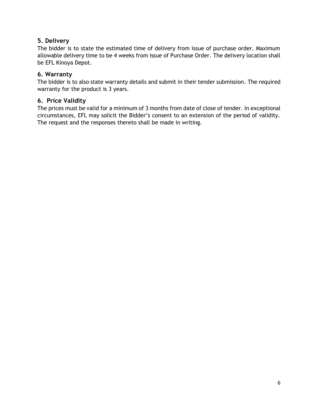#### <span id="page-7-0"></span>**5. Delivery**

The bidder is to state the estimated time of delivery from issue of purchase order. Maximum allowable delivery time to be 4 weeks from issue of Purchase Order. The delivery location shall be EFL Kinoya Depot.

#### <span id="page-7-1"></span>**6. Warranty**

The bidder is to also state warranty details and submit in their tender submission. The required warranty for the product is 3 years.

#### <span id="page-7-2"></span>**6. Price Validity**

The prices must be valid for a minimum of 3 months from date of close of tender. In exceptional circumstances, EFL may solicit the Bidder's consent to an extension of the period of validity. The request and the responses thereto shall be made in writing.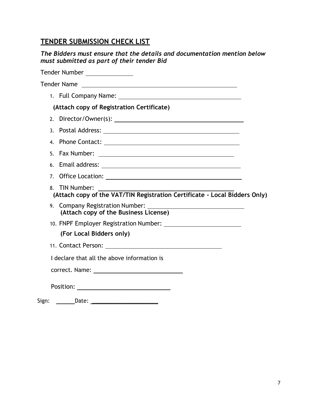#### **TENDER SUBMISSION CHECK LIST**

| The Bidders must ensure that the details and documentation mention below |
|--------------------------------------------------------------------------|
| must submitted as part of their tender Bid                               |

Tender Number Tender Name 1. Full Company Name: **(Attach copy of Registration Certificate)** 2. Director/Owner(s): 3. Postal Address: 4. Phone Contact: 5. Fax Number: 6. Email address: 7. Office Location: 8. TIN Number: **(Attach copy of the VAT/TIN Registration Certificate - Local Bidders Only)** 9. Company Registration Number: **(Attach copy of the Business License)** 10. FNPF Employer Registration Number: **(For Local Bidders only)** 11. Contact Person: I declare that all the above information is correct. Name: Position: where the contract of the contract of the contract of the contract of the contract of the contract of the contract of the contract of the contract of the contract of the contract of the contract of the contract o

Sign: Date: \_\_\_\_\_\_\_\_\_\_\_\_\_\_\_\_\_\_\_\_\_\_